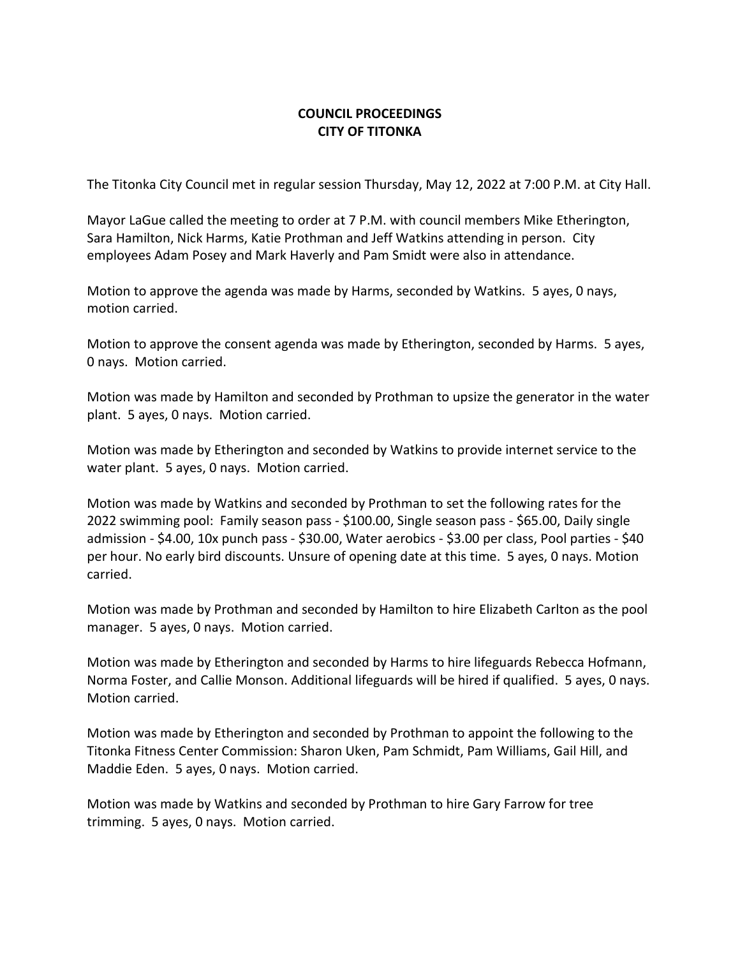## **COUNCIL PROCEEDINGS CITY OF TITONKA**

The Titonka City Council met in regular session Thursday, May 12, 2022 at 7:00 P.M. at City Hall.

Mayor LaGue called the meeting to order at 7 P.M. with council members Mike Etherington, Sara Hamilton, Nick Harms, Katie Prothman and Jeff Watkins attending in person. City employees Adam Posey and Mark Haverly and Pam Smidt were also in attendance.

Motion to approve the agenda was made by Harms, seconded by Watkins. 5 ayes, 0 nays, motion carried.

Motion to approve the consent agenda was made by Etherington, seconded by Harms. 5 ayes, 0 nays. Motion carried.

Motion was made by Hamilton and seconded by Prothman to upsize the generator in the water plant. 5 ayes, 0 nays. Motion carried.

Motion was made by Etherington and seconded by Watkins to provide internet service to the water plant. 5 ayes, 0 nays. Motion carried.

Motion was made by Watkins and seconded by Prothman to set the following rates for the 2022 swimming pool: Family season pass - \$100.00, Single season pass - \$65.00, Daily single admission - \$4.00, 10x punch pass - \$30.00, Water aerobics - \$3.00 per class, Pool parties - \$40 per hour. No early bird discounts. Unsure of opening date at this time. 5 ayes, 0 nays. Motion carried.

Motion was made by Prothman and seconded by Hamilton to hire Elizabeth Carlton as the pool manager. 5 ayes, 0 nays. Motion carried.

Motion was made by Etherington and seconded by Harms to hire lifeguards Rebecca Hofmann, Norma Foster, and Callie Monson. Additional lifeguards will be hired if qualified. 5 ayes, 0 nays. Motion carried.

Motion was made by Etherington and seconded by Prothman to appoint the following to the Titonka Fitness Center Commission: Sharon Uken, Pam Schmidt, Pam Williams, Gail Hill, and Maddie Eden. 5 ayes, 0 nays. Motion carried.

Motion was made by Watkins and seconded by Prothman to hire Gary Farrow for tree trimming. 5 ayes, 0 nays. Motion carried.